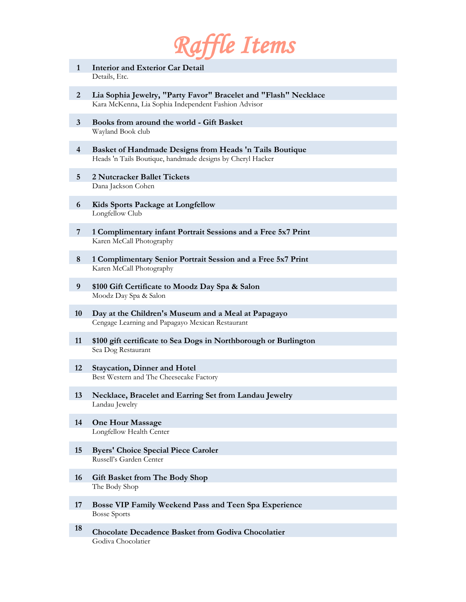

- **1 Interior and Exterior Car Detail** Details, Etc.
- **2 Lia Sophia Jewelry, "Party Favor" Bracelet and "Flash" Necklace** Kara McKenna, Lia Sophia Independent Fashion Advisor
- **3 Books from around the world - Gift Basket**  Wayland Book club
- **4 Basket of Handmade Designs from Heads 'n Tails Boutique** Heads 'n Tails Boutique, handmade designs by Cheryl Hacker
- **5 2 Nutcracker Ballet Tickets** Dana Jackson Cohen
- **6 Kids Sports Package at Longfellow** Longfellow Club
- **7 1 Complimentary infant Portrait Sessions and a Free 5x7 Print** Karen McCall Photography
- **8 1 Complimentary Senior Portrait Session and a Free 5x7 Print** Karen McCall Photography
- **9 \$100 Gift Certificate to Moodz Day Spa & Salon** Moodz Day Spa & Salon
- **10 Day at the Children's Museum and a Meal at Papagayo** Cengage Learning and Papagayo Mexican Restaurant
- **11 \$100 gift certificate to Sea Dogs in Northborough or Burlington** Sea Dog Restaurant
- **12 Staycation, Dinner and Hotel**  Best Western and The Cheesecake Factory
- **13 Necklace, Bracelet and Earring Set from Landau Jewelry** Landau Jewelry
- **14 One Hour Massage** Longfellow Health Center
- **15 Byers' Choice Special Piece Caroler** Russell's Garden Center
- **16 Gift Basket from The Body Shop** The Body Shop
- **17 Bosse VIP Family Weekend Pass and Teen Spa Experience**  Bosse Sports
- **<sup>18</sup> Chocolate Decadence Basket from Godiva Chocolatier** Godiva Chocolatier